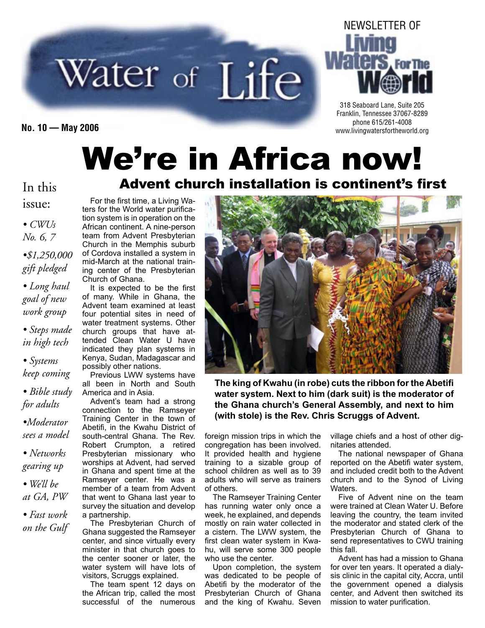# Water of Life



318 Seaboard Lane, Suite 205 Franklin, Tennessee 37067-8289 phone 615/261-4008 **No. 10 — May 2006** www.livingwatersfortheworld.org

# We're in Africa now! Advent church installation is continent's first

#### In this

issue:

*• CWUs No. 6, 7*

*•\$1,250,000 gift pledged*

*• Long haul goal of new work group*

*• Steps made in high tech*

*• Systems keep coming*

*• Bible study for adults*

*•Moderator sees a model*

*• Networks gearing up*

*• We'll be at GA, PW*

*• Fast work on the Gulf*

For the first time, a Living Waters for the World water purification system is in operation on the African continent. A nine-person team from Advent Presbyterian Church in the Memphis suburb of Cordova installed a system in mid-March at the national training center of the Presbyterian Church of Ghana.

It is expected to be the first of many. While in Ghana, the Advent team examined at least four potential sites in need of water treatment systems. Other church groups that have attended Clean Water U have indicated they plan systems in Kenya, Sudan, Madagascar and possibly other nations.

Previous LWW systems have all been in North and South America and in Asia.

Advent's team had a strong connection to the Ramseyer Training Center in the town of Abetifi, in the Kwahu District of south-central Ghana. The Rev. Robert Crumpton, a retired Presbyterian missionary who worships at Advent, had served in Ghana and spent time at the Ramseyer center. He was a member of a team from Advent that went to Ghana last year to survey the situation and develop a partnership.

The Presbyterian Church of Ghana suggested the Ramseyer center, and since virtually every minister in that church goes to the center sooner or later, the water system will have lots of visitors, Scruggs explained.

The team spent 12 days on the African trip, called the most successful of the numerous



**The king of Kwahu (in robe) cuts the ribbon for the Abetifi water system. Next to him (dark suit) is the moderator of the Ghana church's General Assembly, and next to him (with stole) is the Rev. Chris Scruggs of Advent.**

foreign mission trips in which the congregation has been involved. It provided health and hygiene training to a sizable group of school children as well as to 39 adults who will serve as trainers of others.

The Ramseyer Training Center has running water only once a week, he explained, and depends mostly on rain water collected in a cistern. The LWW system, the first clean water system in Kwahu, will serve some 300 people who use the center.

Upon completion, the system was dedicated to be people of Abetifi by the moderator of the Presbyterian Church of Ghana and the king of Kwahu. Seven

village chiefs and a host of other dignitaries attended.

The national newspaper of Ghana reported on the Abetifi water system, and included credit both to the Advent church and to the Synod of Living Waters.

Five of Advent nine on the team were trained at Clean Water U. Before leaving the country, the team invited the moderator and stated clerk of the Presbyterian Church of Ghana to send representatives to CWU training this fall.

Advent has had a mission to Ghana for over ten years. It operated a dialysis clinic in the capital city, Accra, until the government opened a dialysis center, and Advent then switched its mission to water purification.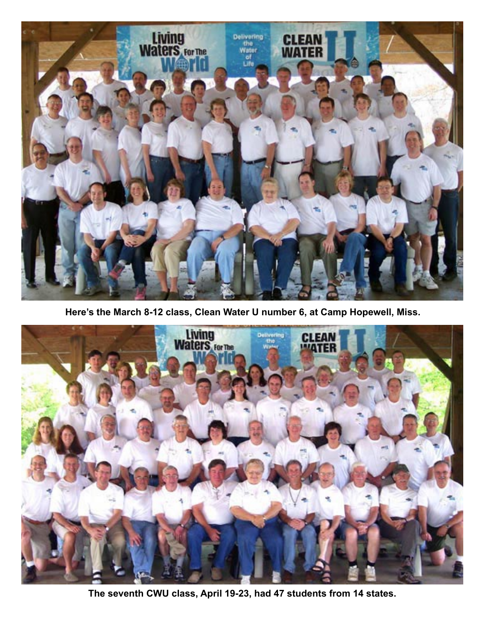

**Here's the March 8-12 class, Clean Water U number 6, at Camp Hopewell, Miss.**



**The seventh CWU class, April 19-23, had 47 students from 14 states.**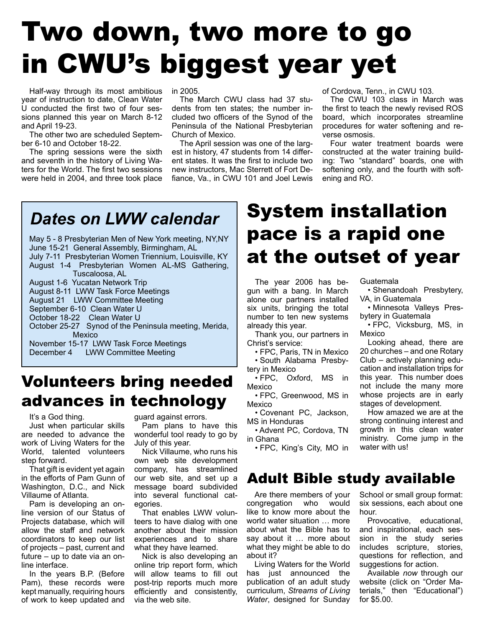# Two down, two more to go in CWU's biggest year yet

Half-way through its most ambitious year of instruction to date, Clean Water U conducted the first two of four sessions planned this year on March 8-12 and April 19-23.

The other two are scheduled September 6-10 and October 18-22.

The spring sessions were the sixth and seventh in the history of Living Waters for the World. The first two sessions were held in 2004, and three took place in 2005.

The March CWU class had 37 students from ten states; the number included two officers of the Synod of the Peninsula of the National Presbyterian Church of Mexico.

The April session was one of the largest in history, 47 students from 14 different states. It was the first to include two new instructors, Mac Sterrett of Fort Defiance, Va., in CWU 101 and Joel Lewis of Cordova, Tenn., in CWU 103.

The CWU 103 class in March was the first to teach the newly revised ROS board, which incorporates streamline procedures for water softening and reverse osmosis.

Four water treatment boards were constructed at the water training building: Two "standard" boards, one with softening only, and the fourth with softening and RO.

#### *Dates on LWW calendar*

May 5 - 8 Presbyterian Men of New York meeting, NY,NY June 15-21 General Assembly, Birmingham, AL July 7-11 Presbyterian Women Triennium, Louisville, KY August 1-4 Presbyterian Women AL-MS Gathering, Tuscaloosa, AL August 1-6 Yucatan Network Trip August 8-11 LWW Task Force Meetings August 21 LWW Committee Meeting September 6-10 Clean Water U October 18-22 Clean Water U October 25-27 Synod of the Peninsula meeting, Merida, Mexico November 15-17 LWW Task Force Meetings

December 4 LWW Committee Meeting

#### Volunteers bring needed advances in technology

It's a God thing.

Just when particular skills are needed to advance the work of Living Waters for the World, talented volunteers step forward.

That gift is evident yet again in the efforts of Pam Gunn of Washington, D.C., and Nick Villaume of Atlanta.

Pam is developing an online version of our Status of Projects database, which will allow the staff and network coordinators to keep our list of projects – past, current and future – up to date via an online interface.

In the years B.P. (Before Pam), these records were kept manually, requiring hours of work to keep updated and guard against errors.

Pam plans to have this wonderful tool ready to go by July of this year.

Nick Villaume, who runs his own web site development company, has streamlined our web site, and set up a message board subdivided into several functional categories.

That enables LWW volunteers to have dialog with one another about their mission experiences and to share what they have learned.

Nick is also developing an online trip report form, which will allow teams to fill out post-trip reports much more efficiently and consistently, via the web site.

## System installation pace is a rapid one at the outset of year

The year 2006 has begun with a bang. In March alone our partners installed six units, bringing the total number to ten new systems already this year.

Thank you, our partners in Christ's service:

• FPC, Paris, TN in Mexico • South Alabama Presby-

tery in Mexico

• FPC, Oxford, MS in Mexico

• FPC, Greenwood, MS in Mexico

• Covenant PC, Jackson, MS in Honduras

• Advent PC, Cordova, TN in Ghana

• FPC, King's City, MO in

#### Adult Bible study available

Are there members of your<br>
ngregation who would congregation who like to know more about the world water situation … more about what the Bible has to say about it … more about what they might be able to do about it?

Living Waters for the World has just announced the publication of an adult study curriculum, *Streams of Living Water*, designed for Sunday

Guatemala

• Shenandoah Presbytery, VA, in Guatemala

• Minnesota Valleys Presbytery in Guatemala

• FPC, Vicksburg, MS, in Mexico

Looking ahead, there are 20 churches – and one Rotary Club – actively planning education and installation trips for this year. This number does not include the many more whose projects are in early stages of development.

How amazed we are at the strong continuing interest and growth in this clean water ministry. Come jump in the water with us!

School or small group format: six sessions, each about one hour.

Provocative, educational, and inspirational, each session in the study series includes scripture, stories, questions for reflection, and suggestions for action.

Available *now* through our website (click on "Order Materials," then "Educational") for \$5.00.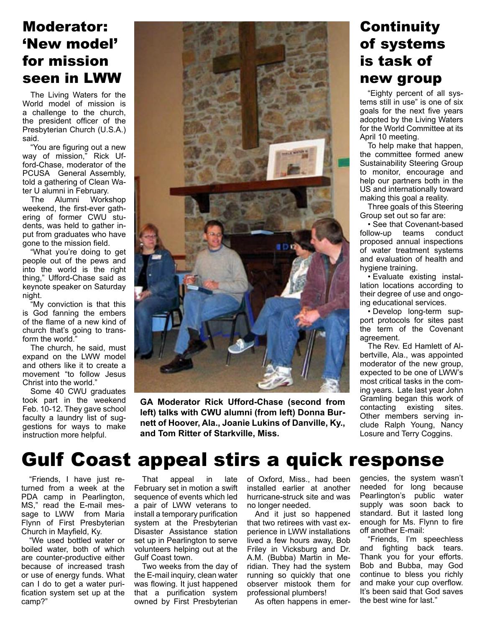#### Moderator: 'New model' for mission seen in LWW

The Living Waters for the World model of mission is a challenge to the church, the president officer of the Presbyterian Church (U.S.A.) said.

"You are figuring out a new way of mission," Rick Ufford-Chase, moderator of the PCUSA General Assembly, told a gathering of Clean Water U alumni in February.

The Alumni Workshop weekend, the first-ever gathering of former CWU students, was held to gather input from graduates who have gone to the mission field.

"What you're doing to get people out of the pews and into the world is the right thing," Ufford-Chase said as keynote speaker on Saturday night.

"My conviction is that this is God fanning the embers of the flame of a new kind of church that's going to transform the world."

The church, he said, must expand on the LWW model and others like it to create a movement "to follow Jesus Christ into the world."

Some 40 CWU graduates took part in the weekend Feb. 10-12. They gave school faculty a laundry list of suggestions for ways to make instruction more helpful.



**GA Moderator Rick Ufford-Chase (second from left) talks with CWU alumni (from left) Donna Burnett of Hoover, Ala., Joanie Lukins of Danville, Ky., and Tom Ritter of Starkville, Miss.**

#### **Continuity** of systems is task of new group

"Eighty percent of all systems still in use" is one of six goals for the next five years adopted by the Living Waters for the World Committee at its April 10 meeting.

To help make that happen, the committee formed anew Sustainability Steering Group to monitor, encourage and help our partners both in the US and internationally toward making this goal a reality.

Three goals of this Steering Group set out so far are:

• See that Covenant-based follow-up teams conduct proposed annual inspections of water treatment systems and evaluation of health and hygiene training.

• Evaluate existing installation locations according to their degree of use and ongoing educational services.

• Develop long-term support protocols for sites past the term of the Covenant agreement.

The Rev. Ed Hamlett of Albertville, Ala., was appointed moderator of the new group, expected to be one of LWW's most critical tasks in the coming years. Late last year John Gramling began this work of contacting existing sites. Other members serving include Ralph Young, Nancy Losure and Terry Coggins.

## Gulf Coast appeal stirs a quick response

"Friends, I have just returned from a week at the PDA camp in Pearlington, MS," read the E-mail message to LWW from Maria Flynn of First Presbyterian Church in Mayfield, Ky.

"We used bottled water or boiled water, both of which are counter-productive either because of increased trash or use of energy funds. What can I do to get a water purification system set up at the camp?"

That appeal in late February set in motion a swift sequence of events which led a pair of LWW veterans to install a temporary purification system at the Presbyterian Disaster Assistance station set up in Pearlington to serve volunteers helping out at the Gulf Coast town.

Two weeks from the day of the E-mail inquiry, clean water was flowing. It just happened that a purification system owned by First Presbyterian

of Oxford, Miss., had been installed earlier at another hurricane-struck site and was no longer needed.

And it just so happened that two retirees with vast experience in LWW installations lived a few hours away, Bob Friley in Vicksburg and Dr. A.M. (Bubba) Martin in Meridian. They had the system running so quickly that one observer mistook them for professional plumbers!

As often happens in emer-

gencies, the system wasn't needed for long because Pearlington's public water supply was soon back to standard. But it lasted long enough for Ms. Flynn to fire off another E-mail:

"Friends, I'm speechless and fighting back tears. Thank you for your efforts. Bob and Bubba, may God continue to bless you richly and make your cup overflow. It's been said that God saves the best wine for last."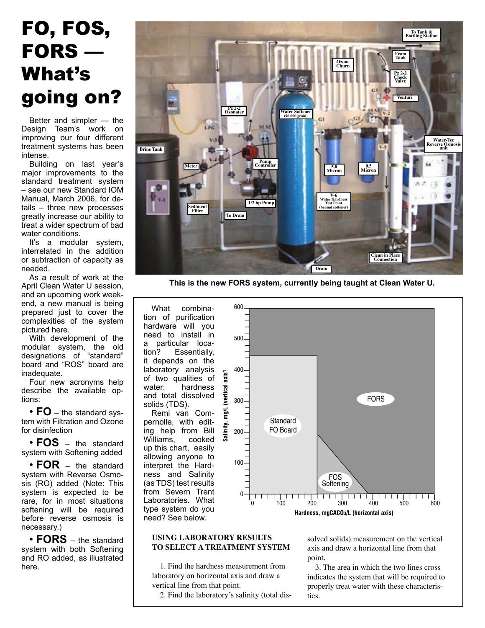# FO, FOS, **FORS** — What's going on?

Better and simpler - the Design Team's work on improving our four different treatment systems has been intense.

Building on last year's major improvements to the standard treatment system - see our new Standard IOM Manual. March 2006. for details - three new processes greatly increase our ability to treat a wider spectrum of bad water conditions.

It's a modular system, interrelated in the addition or subtraction of capacity as heeded

As a result of work at the April Clean Water U session, and an upcoming work weekend, a new manual is being prepared just to cover the complexities of the system pictured here.

With development of the modular system, the old<br>designations of "standard" board and "ROS" board are inadequate.

Four new acronyms help describe the available options:

•  $FO$  – the standard system with Filtration and Ozone for disinfection

 $\cdot$  FOS  $-$  the standard system with Softening added

• FOR - the standard system with Reverse Osmosis (RO) added (Note: This system is expected to be rare, for in most situations softening will be required before reverse osmosis is necessary.)

•  $FORS - the standard$ system with both Softening and RO added, as illustrated here.



This is the new FORS system, currently being taught at Clean Water U.

What combination of purification hardware will you need to install in a particular location? Essentially, it depends on the laboratory analysis of two qualities of water: hardness and total dissolved solids (TDS).

Remi van Compernolle, with editing help from Bill Williams, cooked up this chart, easily allowing anyone to interpret the Hardness and Salinity (as TDS) test results from Severn Trent Laboratories. What type system do you need? See below.



#### **USING LABORATORY RESULTS** TO SELECT A TREATMENT SYSTEM

1. Find the hardness measurement from laboratory on horizontal axis and draw a vertical line from that point.

2. Find the laboratory's salinity (total dis-

solved solids) measurement on the vertical axis and draw a horizontal line from that point.

3. The area in which the two lines cross indicates the system that will be required to properly treat water with these characteristics.